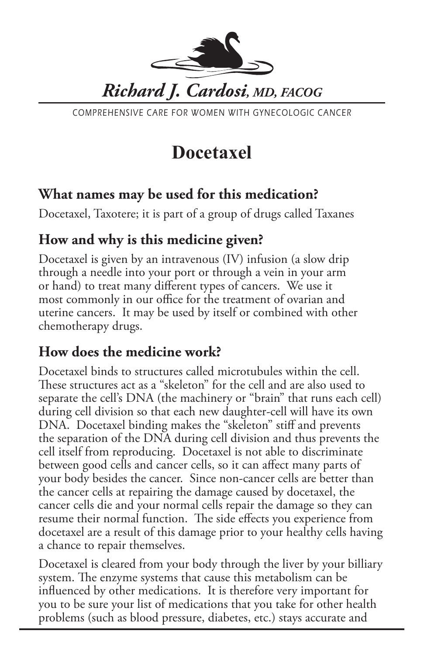

COMPREHENSIVE CARE FOR WOMEN WITH GYNECOLOGIC CANCER

# **Docetaxel**

#### **What names may be used for this medication?**

Docetaxel, Taxotere; it is part of a group of drugs called Taxanes

#### **How and why is this medicine given?**

Docetaxel is given by an intravenous (IV) infusion (a slow drip through a needle into your port or through a vein in your arm or hand) to treat many different types of cancers. We use it most commonly in our office for the treatment of ovarian and uterine cancers. It may be used by itself or combined with other chemotherapy drugs.

#### **How does the medicine work?**

Docetaxel binds to structures called microtubules within the cell. These structures act as a "skeleton" for the cell and are also used to separate the cell's DNA (the machinery or "brain" that runs each cell) during cell division so that each new daughter-cell will have its own DNA. Docetaxel binding makes the "skeleton" stiff and prevents the separation of the DNA during cell division and thus prevents the cell itself from reproducing. Docetaxel is not able to discriminate between good cells and cancer cells, so it can affect many parts of your body besides the cancer. Since non-cancer cells are better than the cancer cells at repairing the damage caused by docetaxel, the cancer cells die and your normal cells repair the damage so they can resume their normal function. The side effects you experience from docetaxel are a result of this damage prior to your healthy cells having a chance to repair themselves.

Docetaxel is cleared from your body through the liver by your billiary system. The enzyme systems that cause this metabolism can be influenced by other medications. It is therefore very important for you to be sure your list of medications that you take for other health problems (such as blood pressure, diabetes, etc.) stays accurate and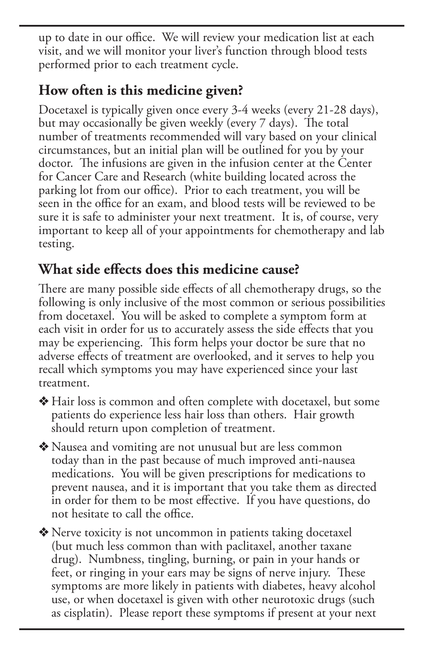up to date in our office. We will review your medication list at each visit, and we will monitor your liver's function through blood tests performed prior to each treatment cycle.

### **How often is this medicine given?**

Docetaxel is typically given once every 3-4 weeks (every 21-28 days), but may occasionally be given weekly (every 7 days). The total number of treatments recommended will vary based on your clinical circumstances, but an initial plan will be outlined for you by your doctor. The infusions are given in the infusion center at the Center for Cancer Care and Research (white building located across the parking lot from our office). Prior to each treatment, you will be seen in the office for an exam, and blood tests will be reviewed to be sure it is safe to administer your next treatment. It is, of course, very important to keep all of your appointments for chemotherapy and lab testing.

## **What side effects does this medicine cause?**

There are many possible side effects of all chemotherapy drugs, so the following is only inclusive of the most common or serious possibilities from docetaxel. You will be asked to complete a symptom form at each visit in order for us to accurately assess the side effects that you may be experiencing. This form helps your doctor be sure that no adverse effects of treatment are overlooked, and it serves to help you recall which symptoms you may have experienced since your last treatment.

v Hair loss is common and often complete with docetaxel, but some patients do experience less hair loss than others. Hair growth should return upon completion of treatment.

v Nausea and vomiting are not unusual but are less common today than in the past because of much improved anti-nausea medications. You will be given prescriptions for medications to prevent nausea, and it is important that you take them as directed in order for them to be most effective. If you have questions, do not hesitate to call the office.

 $\triangle$  Nerve toxicity is not uncommon in patients taking docetaxel (but much less common than with paclitaxel, another taxane drug). Numbness, tingling, burning, or pain in your hands or feet, or ringing in your ears may be signs of nerve injury. These symptoms are more likely in patients with diabetes, heavy alcohol use, or when docetaxel is given with other neurotoxic drugs (such as cisplatin). Please report these symptoms if present at your next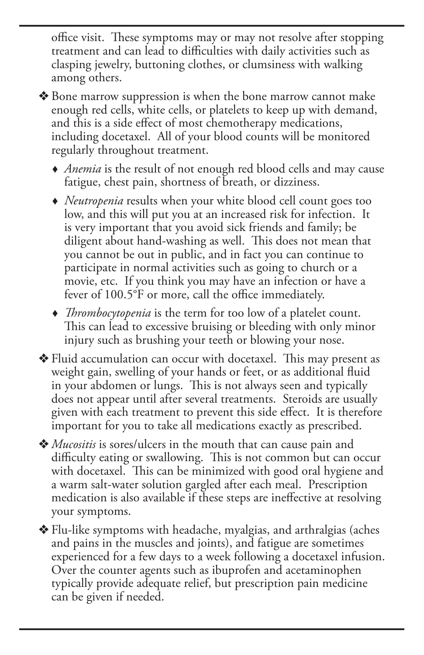office visit. These symptoms may or may not resolve after stopping treatment and can lead to difficulties with daily activities such as clasping jewelry, buttoning clothes, or clumsiness with walking among others.

- ◆ Bone marrow suppression is when the bone marrow cannot make enough red cells, white cells, or platelets to keep up with demand, and this is a side effect of most chemotherapy medications, including docetaxel. All of your blood counts will be monitored regularly throughout treatment.
	- *Anemia* is the result of not enough red blood cells and may cause fatigue, chest pain, shortness of breath, or dizziness.
	- *Neutropenia* results when your white blood cell count goes too low, and this will put you at an increased risk for infection. It is very important that you avoid sick friends and family; be diligent about hand-washing as well. This does not mean that you cannot be out in public, and in fact you can continue to participate in normal activities such as going to church or a movie, etc. If you think you may have an infection or have a fever of 100.5°F or more, call the office immediately.
	- *Thrombocytopenia* is the term for too low of a platelet count. This can lead to excessive bruising or bleeding with only minor injury such as brushing your teeth or blowing your nose.
- $\triangle$  Fluid accumulation can occur with docetaxel. This may present as weight gain, swelling of your hands or feet, or as additional fluid in your abdomen or lungs. This is not always seen and typically does not appear until after several treatments. Steroids are usually given with each treatment to prevent this side effect. It is therefore important for you to take all medications exactly as prescribed.
- v *Mucositis* is sores/ulcers in the mouth that can cause pain and difficulty eating or swallowing. This is not common but can occur with docetaxel. This can be minimized with good oral hygiene and a warm salt-water solution gargled after each meal. Prescription medication is also available if these steps are ineffective at resolving your symptoms.

v Flu-like symptoms with headache, myalgias, and arthralgias (aches and pains in the muscles and joints), and fatigue are sometimes experienced for a few days to a week following a docetaxel infusion. Over the counter agents such as ibuprofen and acetaminophen typically provide adequate relief, but prescription pain medicine can be given if needed.